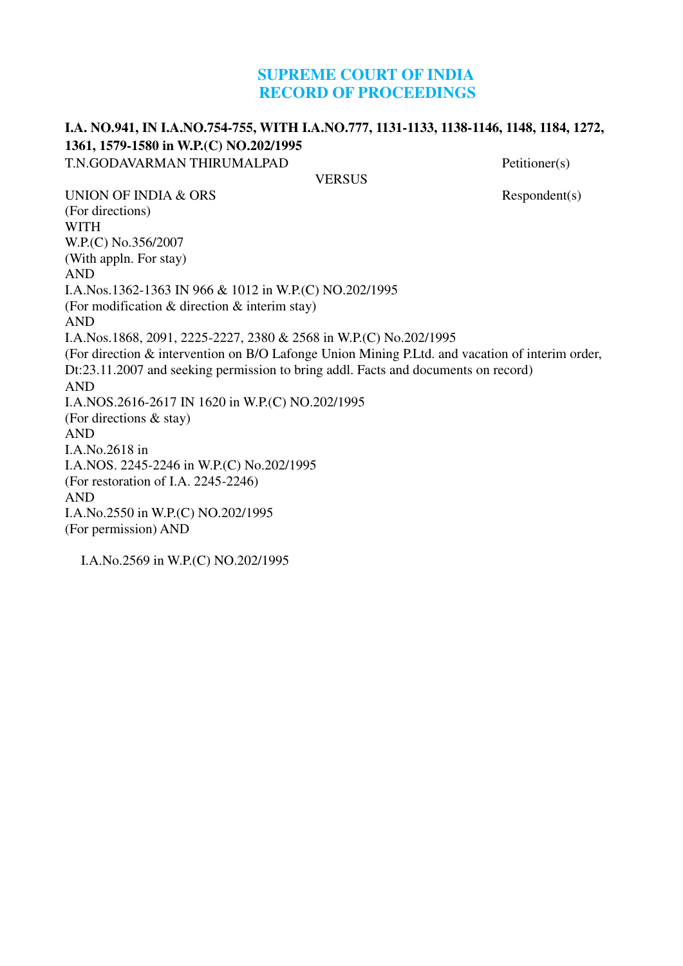## **SUPREME COURT OF INDIA RECORD OF PROCEEDINGS**

#### **I.A. NO.941, IN I.A.NO.754-755, WITH I.A.NO.777, 1131-1133, 1138-1146, 1148, 1184, 1272, 1361, 1579-1580 in W.P.(C) NO.202/1995** T.N.GODAVARMAN THIRUMALPAD Petitioner(s)

**VERSUS** 

UNION OF INDIA  $& ORS$  Respondent(s) (For directions) WITH W.P.(C) No.356/2007 (With appln. For stay) AND I.A.Nos.1362-1363 IN 966 & 1012 in W.P.(C) NO.202/1995 (For modification & direction & interim stay) AND I.A.Nos.1868, 2091, 2225-2227, 2380 & 2568 in W.P.(C) No.202/1995 (For direction & intervention on B/O Lafonge Union Mining P.Ltd. and vacation of interim order, Dt:23.11.2007 and seeking permission to bring addl. Facts and documents on record) AND I.A.NOS.2616-2617 IN 1620 in W.P.(C) NO.202/1995 (For directions & stay) AND I.A.No.2618 in I.A.NOS. 2245-2246 in W.P.(C) No.202/1995 (For restoration of I.A. 2245-2246) AND I.A.No.2550 in W.P.(C) NO.202/1995 (For permission) AND

I.A.No.2569 in W.P.(C) NO.202/1995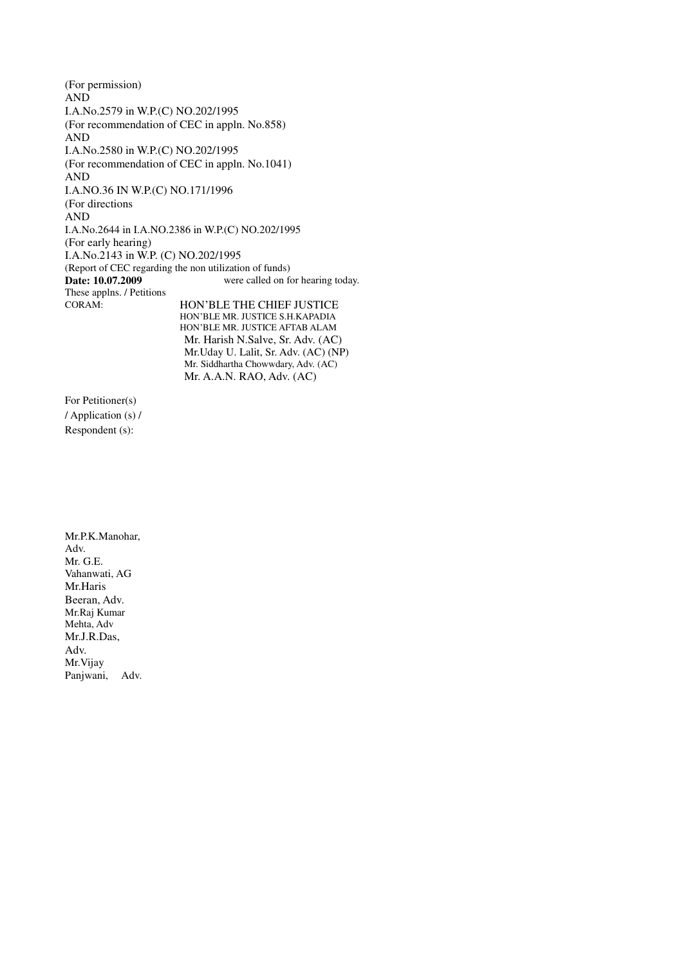(For permission) AND I.A.No.2579 in W.P.(C) NO.202/1995 (For recommendation of CEC in appln. No.858) AND I.A.No.2580 in W.P.(C) NO.202/1995 (For recommendation of CEC in appln. No.1041) AND I.A.NO.36 IN W.P.(C) NO.171/1996 (For directions AND I.A.No.2644 in I.A.NO.2386 in W.P.(C) NO.202/1995 (For early hearing) I.A.No.2143 in W.P. (C) NO.202/1995 (Report of CEC regarding the non utilization of funds) **Date: 10.07.2009** These applns. / Petitions were called on for hearing today. CORAM: HON'BLE THE CHIEF JUSTICE HON'BLE MR. JUSTICE S.H.KAPADIA HON'BLE MR. JUSTICE AFTAB ALAM Mr. Harish N.Salve, Sr. Adv. (AC)

Mr.Uday U. Lalit, Sr. Adv. (AC) (NP) Mr. Siddhartha Chowwdary, Adv. (AC) Mr. A.A.N. RAO, Adv. (AC)

For Petitioner(s) / Application (s) / Respondent (s):

Mr.P.K.Manohar, Adv. Mr. G.E. Vahanwati, AG Mr.Haris Beeran, Adv. Mr.Raj Kumar Mehta, Adv Mr.J.R.Das, Adv. Mr.Vijay Panjwani, Adv.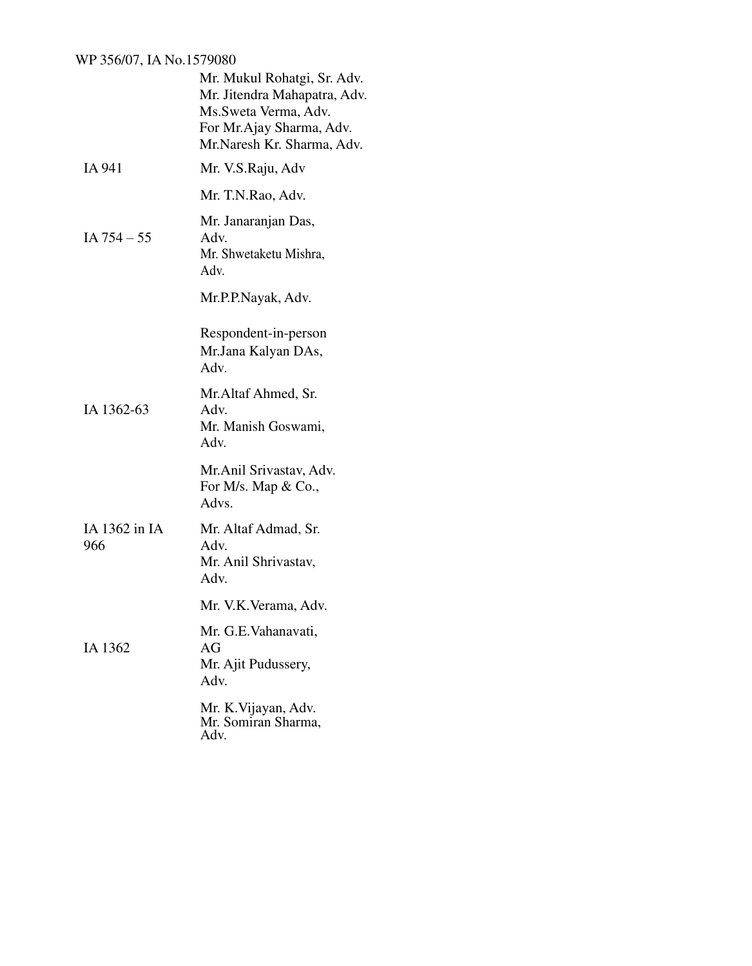### WP 356/07, IA No.1579080

|                      | Mr. Mukul Rohatgi, Sr. Adv.<br>Mr. Jitendra Mahapatra, Adv.<br>Ms.Sweta Verma, Adv.<br>For Mr.Ajay Sharma, Adv.<br>Mr.Naresh Kr. Sharma, Adv. |
|----------------------|-----------------------------------------------------------------------------------------------------------------------------------------------|
| IA 941               | Mr. V.S.Raju, Adv                                                                                                                             |
|                      | Mr. T.N.Rao, Adv.                                                                                                                             |
| IA $754 - 55$        | Mr. Janaranjan Das,<br>Adv.<br>Mr. Shwetaketu Mishra,<br>Adv.                                                                                 |
|                      | Mr.P.P.Nayak, Adv.                                                                                                                            |
|                      | Respondent-in-person<br>Mr.Jana Kalyan DAs,<br>Adv.                                                                                           |
| IA 1362-63           | Mr.Altaf Ahmed, Sr.<br>Adv.<br>Mr. Manish Goswami,<br>Adv.                                                                                    |
|                      | Mr. Anil Srivastav, Adv.<br>For M/s. Map $& Co.,$<br>Advs.                                                                                    |
| IA 1362 in IA<br>966 | Mr. Altaf Admad, Sr.<br>Adv.<br>Mr. Anil Shrivastav,<br>Adv.                                                                                  |
|                      | Mr. V.K. Verama, Adv.                                                                                                                         |
| IA 1362              | Mr. G.E. Vahanavati,<br>AG<br>Mr. Ajit Pudussery,<br>Adv.                                                                                     |
|                      | Mr. K. Vijayan, Adv.<br>Mr. Somiran Sharma,<br>Adv.                                                                                           |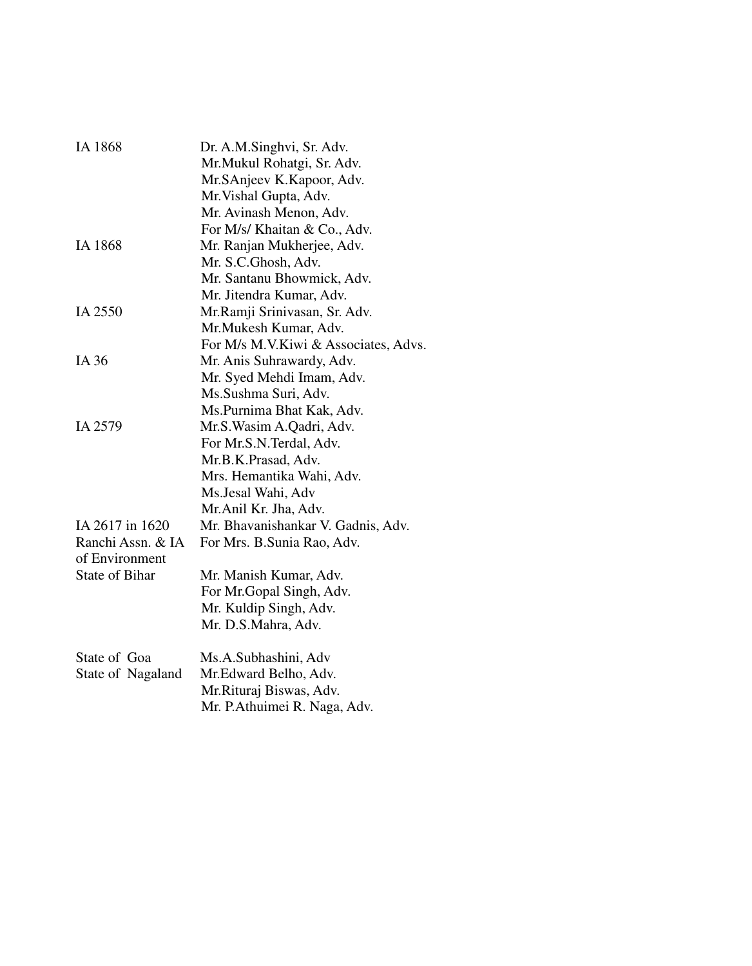| IA 1868           | Dr. A.M.Singhvi, Sr. Adv.            |
|-------------------|--------------------------------------|
|                   | Mr.Mukul Rohatgi, Sr. Adv.           |
|                   | Mr.SAnjeev K.Kapoor, Adv.            |
|                   | Mr. Vishal Gupta, Adv.               |
|                   | Mr. Avinash Menon, Adv.              |
|                   | For M/s/ Khaitan & Co., Adv.         |
| IA 1868           | Mr. Ranjan Mukherjee, Adv.           |
|                   | Mr. S.C.Ghosh, Adv.                  |
|                   | Mr. Santanu Bhowmick, Adv.           |
|                   | Mr. Jitendra Kumar, Adv.             |
| IA 2550           | Mr.Ramji Srinivasan, Sr. Adv.        |
|                   | Mr. Mukesh Kumar, Adv.               |
|                   | For M/s M.V.Kiwi & Associates, Advs. |
| IA 36             | Mr. Anis Suhrawardy, Adv.            |
|                   | Mr. Syed Mehdi Imam, Adv.            |
|                   | Ms. Sushma Suri, Adv.                |
|                   | Ms.Purnima Bhat Kak, Adv.            |
| IA 2579           | Mr.S. Wasim A. Qadri, Adv.           |
|                   | For Mr.S.N.Terdal, Adv.              |
|                   | Mr.B.K.Prasad, Adv.                  |
|                   | Mrs. Hemantika Wahi, Adv.            |
|                   | Ms.Jesal Wahi, Adv                   |
|                   | Mr.Anil Kr. Jha, Adv.                |
| IA 2617 in 1620   | Mr. Bhavanishankar V. Gadnis, Adv.   |
| Ranchi Assn. & IA | For Mrs. B.Sunia Rao, Adv.           |
| of Environment    |                                      |
| State of Bihar    | Mr. Manish Kumar, Adv.               |
|                   | For Mr.Gopal Singh, Adv.             |
|                   | Mr. Kuldip Singh, Adv.               |
|                   | Mr. D.S.Mahra, Adv.                  |
| State of Goa      | Ms.A.Subhashini, Adv                 |
| State of Nagaland | Mr. Edward Belho, Adv.               |
|                   | Mr.Rituraj Biswas, Adv.              |
|                   | Mr. P. Athuimei R. Naga, Adv.        |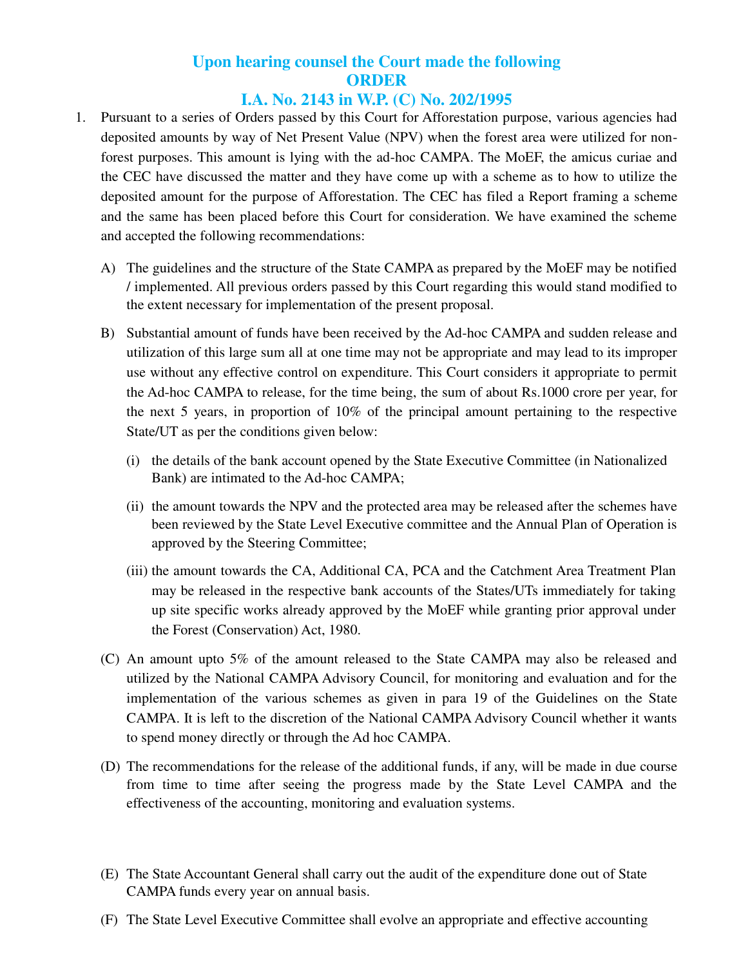# **Upon hearing counsel the Court made the following ORDER**

## **I.A. No. 2143 in W.P. (C) No. 202/1995**

- 1. Pursuant to a series of Orders passed by this Court for Afforestation purpose, various agencies had deposited amounts by way of Net Present Value (NPV) when the forest area were utilized for nonforest purposes. This amount is lying with the ad-hoc CAMPA. The MoEF, the amicus curiae and the CEC have discussed the matter and they have come up with a scheme as to how to utilize the deposited amount for the purpose of Afforestation. The CEC has filed a Report framing a scheme and the same has been placed before this Court for consideration. We have examined the scheme and accepted the following recommendations:
	- A) The guidelines and the structure of the State CAMPA as prepared by the MoEF may be notified / implemented. All previous orders passed by this Court regarding this would stand modified to the extent necessary for implementation of the present proposal.
	- B) Substantial amount of funds have been received by the Ad-hoc CAMPA and sudden release and utilization of this large sum all at one time may not be appropriate and may lead to its improper use without any effective control on expenditure. This Court considers it appropriate to permit the Ad-hoc CAMPA to release, for the time being, the sum of about Rs.1000 crore per year, for the next 5 years, in proportion of 10% of the principal amount pertaining to the respective State/UT as per the conditions given below:
		- (i) the details of the bank account opened by the State Executive Committee (in Nationalized Bank) are intimated to the Ad-hoc CAMPA;
		- (ii) the amount towards the NPV and the protected area may be released after the schemes have been reviewed by the State Level Executive committee and the Annual Plan of Operation is approved by the Steering Committee;
		- (iii) the amount towards the CA, Additional CA, PCA and the Catchment Area Treatment Plan may be released in the respective bank accounts of the States/UTs immediately for taking up site specific works already approved by the MoEF while granting prior approval under the Forest (Conservation) Act, 1980.
	- (C) An amount upto 5% of the amount released to the State CAMPA may also be released and utilized by the National CAMPA Advisory Council, for monitoring and evaluation and for the implementation of the various schemes as given in para 19 of the Guidelines on the State CAMPA. It is left to the discretion of the National CAMPA Advisory Council whether it wants to spend money directly or through the Ad hoc CAMPA.
	- (D) The recommendations for the release of the additional funds, if any, will be made in due course from time to time after seeing the progress made by the State Level CAMPA and the effectiveness of the accounting, monitoring and evaluation systems.
	- (E) The State Accountant General shall carry out the audit of the expenditure done out of State CAMPA funds every year on annual basis.
	- (F) The State Level Executive Committee shall evolve an appropriate and effective accounting